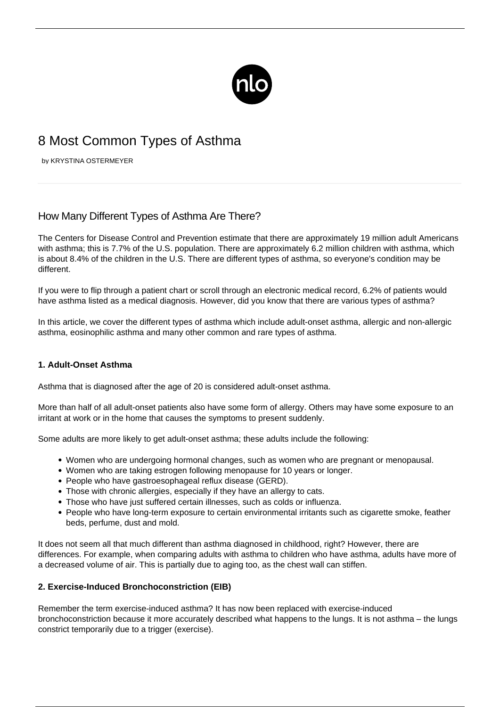

# 8 Most Common Types of Asthma

by KRYSTINA OSTERMEYER

# How Many Different Types of Asthma Are There?

The Centers for Disease Control and Prevention estimate that there are approximately 19 million adult Americans with asthma; this is 7.7% of the U.S. population. There are approximately 6.2 million children with asthma, which is about 8.4% of the children in the U.S. There are different types of asthma, so everyone's condition may be different.

If you were to flip through a patient chart or scroll through an electronic medical record, 6.2% of patients would have asthma listed as a medical diagnosis. However, did you know that there are various types of asthma?

In this article, we cover the different types of asthma which include adult-onset asthma, allergic and non-allergic asthma, eosinophilic asthma and many other common and rare types of asthma.

### **1. Adult-Onset Asthma**

Asthma that is diagnosed after the age of 20 is considered adult-onset asthma.

More than half of all adult-onset patients also have some form of allergy. Others may have some exposure to an irritant at work or in the home that causes the symptoms to present suddenly.

Some adults are more likely to get adult-onset asthma; these adults include the following:

- Women who are undergoing hormonal changes, such as women who are pregnant or menopausal.
- Women who are taking estrogen following menopause for 10 years or longer.
- People who have gastroesophageal reflux disease (GERD).
- Those with chronic allergies, especially if they have an allergy to cats.
- Those who have just suffered certain illnesses, such as colds or influenza.
- People who have long-term exposure to certain environmental irritants such as cigarette smoke, feather beds, perfume, dust and mold.

It does not seem all that much different than asthma diagnosed in childhood, right? However, there are differences. For example, when comparing adults with asthma to children who have asthma, adults have more of a decreased volume of air. This is partially due to aging too, as the chest wall can stiffen.

# **2. Exercise-Induced Bronchoconstriction (EIB)**

Remember the term [exercise-induced asthma](/exercise-induced-asthma/)? It has now been replaced with exercise-induced bronchoconstriction because it more accurately described what happens to the lungs. It is not asthma – the lungs constrict temporarily due to a trigger (exercise).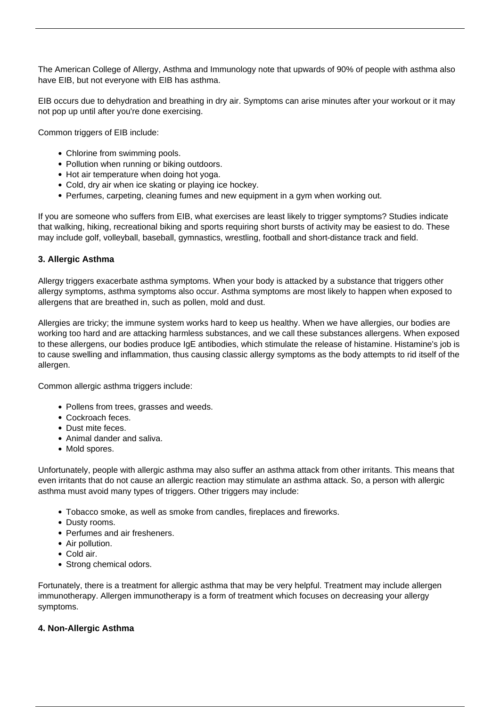The American College of Allergy, Asthma and Immunology note that upwards of 90% of people with asthma also have EIB, but not everyone with EIB has asthma.

EIB occurs due to dehydration and breathing in dry air. Symptoms can arise minutes after your workout or it may not pop up until after you're done exercising.

Common triggers of EIB include:

- Chlorine from swimming pools.
- Pollution when running or biking outdoors.
- Hot air temperature when doing hot yoga.
- Cold, dry air when ice skating or playing ice hockey.
- Perfumes, carpeting, cleaning fumes and new equipment in a gym when working out.

If you are someone who suffers from EIB, what exercises are least likely to trigger symptoms? Studies indicate that walking, hiking, recreational biking and sports requiring short bursts of activity may be easiest to do. These may include golf, volleyball, baseball, gymnastics, wrestling, football and short-distance track and field.

# **3. Allergic Asthma**

Allergy triggers exacerbate [asthma symptoms](/symptoms-asthma/). When your body is attacked by a substance that triggers other allergy symptoms, asthma symptoms also occur. Asthma symptoms are most likely to happen when exposed to allergens that are breathed in, such as pollen, mold and dust.

Allergies are tricky; the immune system works hard to keep us healthy. When we have allergies, our bodies are working too hard and are attacking harmless substances, and we call these substances allergens. When exposed to these allergens, our bodies produce IgE antibodies, which stimulate the release of histamine. Histamine's job is to cause swelling and inflammation, thus causing classic allergy symptoms as the body attempts to rid itself of the allergen.

Common allergic asthma triggers include:

- Pollens from trees, grasses and weeds.
- Cockroach feces.
- Dust mite feces.
- Animal dander and saliva.
- Mold spores.

Unfortunately, people with [allergic asthma](/allergic-asthma/) may also suffer an asthma attack from other irritants. This means that even irritants that do not cause an allergic reaction may stimulate an asthma attack. So, a person with allergic asthma must avoid many types of triggers. Other triggers may include:

- Tobacco smoke, as well as smoke from candles, fireplaces and fireworks.
- Dusty rooms.
- Perfumes and air fresheners.
- Air pollution.
- Cold air.
- Strong chemical odors.

Fortunately, there is a treatment for allergic asthma that may be very helpful. Treatment may include allergen immunotherapy. Allergen immunotherapy is a form of treatment which focuses on decreasing your allergy symptoms.

### **4. Non-Allergic Asthma**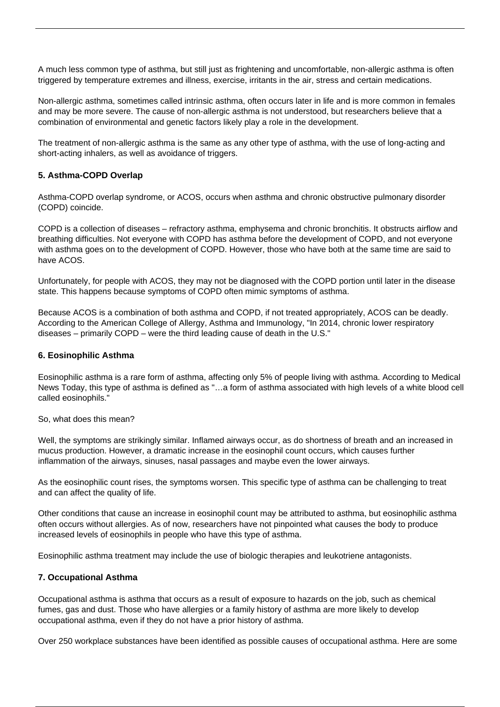A much less common type of asthma, but still just as frightening and uncomfortable, non-allergic asthma is often triggered by temperature extremes and illness, exercise, irritants in the air, stress and certain medications.

Non-allergic asthma, sometimes called intrinsic asthma, often occurs later in life and is more common in females and may be more severe. The cause of non-allergic asthma is not understood, but researchers believe that a combination of environmental and genetic factors likely play a role in the development.

The treatment of non-allergic asthma is the same as any other type of asthma, with the use of long-acting and short-acting inhalers, as well as avoidance of triggers.

## **5. Asthma-COPD Overlap**

Asthma-COPD overlap syndrome, or ACOS, occurs when asthma and chronic obstructive pulmonary disorder (COPD) coincide.

COPD is a collection of diseases – refractory asthma, emphysema and chronic bronchitis. It obstructs airflow and breathing difficulties. Not everyone with COPD has asthma before the development of COPD, and not everyone with asthma goes on to the development of COPD. However, those who have both at the same time are said to have ACOS.

Unfortunately, for people with ACOS, they may not be diagnosed with the COPD portion until later in the disease state. This happens because symptoms of COPD often mimic symptoms of asthma.

Because ACOS is a combination of both asthma and COPD, if not treated appropriately, ACOS can be deadly. According to the American College of Allergy, Asthma and Immunology, "In 2014, chronic lower respiratory diseases – primarily COPD – were the third leading cause of death in the U.S."

### **6. Eosinophilic Asthma**

[Eosinophilic asthma](http://asthmaliving.today/blog/eosinophilic-asthma/) is a rare form of asthma, affecting only 5% of people living with asthma. According to Medical News Today, this type of asthma is defined as "…a form of asthma associated with high levels of a white blood cell called eosinophils."

So, what does this mean?

Well, the symptoms are strikingly similar. Inflamed airways occur, as do shortness of breath and an increased in mucus production. However, a dramatic increase in the eosinophil count occurs, which causes further inflammation of the airways, sinuses, nasal passages and maybe even the lower airways.

As the eosinophilic count rises, the symptoms worsen. This specific type of asthma can be challenging to treat and can affect the quality of life.

Other conditions that cause an increase in eosinophil count may be attributed to asthma, but eosinophilic asthma often occurs without allergies. As of now, researchers have not pinpointed what causes the body to produce increased levels of eosinophils in people who have this type of asthma.

Eosinophilic asthma treatment may include the use of biologic therapies and leukotriene antagonists.

### **7. Occupational Asthma**

Occupational asthma is asthma that occurs as a result of exposure to hazards on the job, such as chemical fumes, gas and dust. Those who have allergies or a family history of asthma are more likely to develop occupational asthma, even if they do not have a prior history of asthma.

Over 250 workplace substances have been identified as possible causes of occupational asthma. Here are some